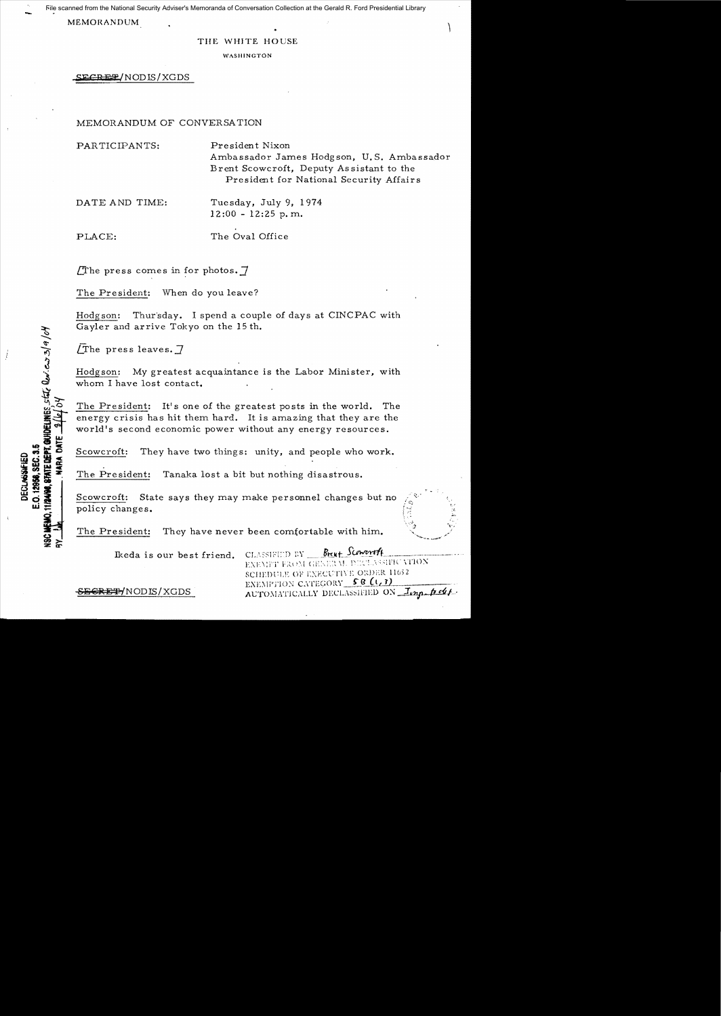File scanned from the National Security Adviser's Memoranda of Conversation Collection at the Gerald R. Ford Presidential Library

MEMORANDUM

### THE WHITE HOUSE

WASHINGTON

**SEeR** U!NODIS/XGDS

## MEMORANDUM OF CONVERSATION

PARTICIPANTS: President Nixon Ambassador James Hodgson, U. S. Ambassador Brent Scowcroft, Deputy As sistant to the President for National Security Affairs

DATE AND TIME: Tuesday, July 9, 1974 12:00 - 12:25 p. m.

**11/2480, STATE DEPT. GOINELINES, STATE Reviews 3/9/04** 

E.O. 12958. SEC. 3.5 **DECLASSIFIED** 

**VARA DATE** 

PLACE: The Oval Office

The press comes in for photos.  $7$ 

The President: When do you leave?

Hodgson: Thur'sday. I spend a couple of days at CINCPAC with Gayler and arrive Tokyo on the 15th.

 $\angle$ The press leaves.  $7$ 

Hodgson: My greatest acquaintance is the Labor Minister, with whom I have lost contact.

The President: It's one of the greatest posts in the world. The energy crisis has hit them hard. It is amazing that they are the world's second economic power without any energy resources.

Scowcroft: They have two things: unity, and people who work.

The President: Tanaka lost a bit but nothing disastrous.

Scowcroft: State says they may make personnel changes but no policy changes. *:t,* 

The President: They have never been comfortable with him.

Ikeda is our best friend. CLASSIFIED BY

Brent Scoworth EXEMPT FROM GENERAL DIRELASSIFICATION SCHEDULE OF EXECUTIVE ORDER 11652 EXEMPTION CATEGORY 58 (1,3) AUTOMATICALLY DECLASSIFIED ON Imp. p.d.

S<del>ECRET/</del>NODIS/XGDS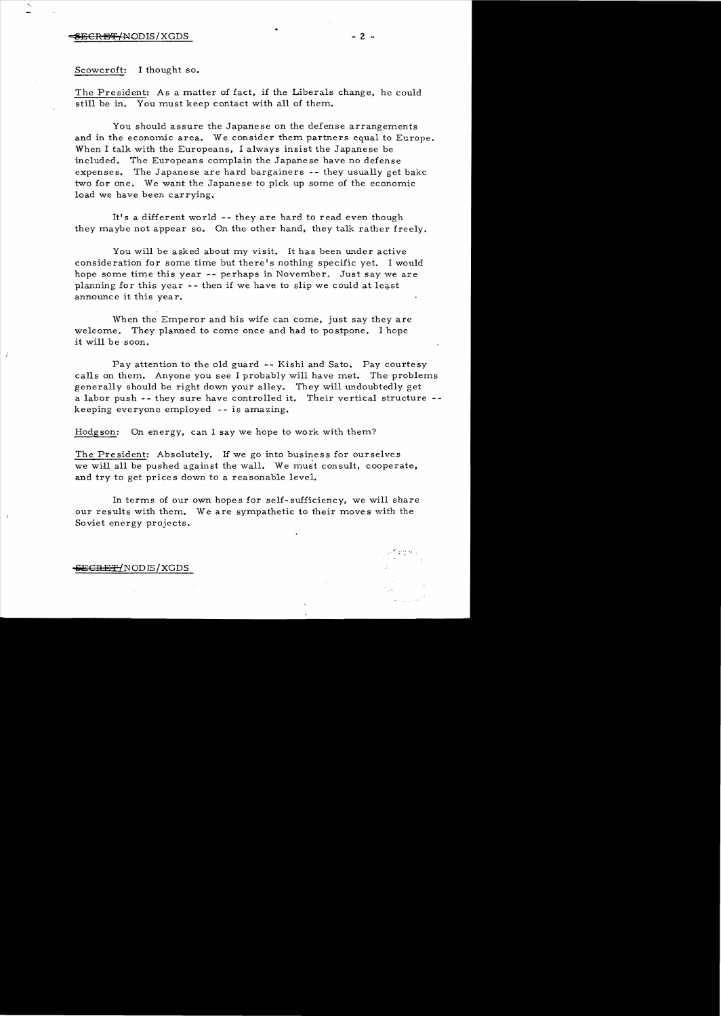### --:S!SCRB!!F /NODIS /XGDS - 2 -

Scowcroft: I thought so.

The President: As a matter of fact, if the Liberals change, he could still be in. You must keep contact with all of them.

You should assure the Japanese on the defense arrangements and in the economic area. We consider them partners equal to Europe. When I talk with the Europeans, I always insist the Japanese be included. The Europeans complain the Japanese have no defense expenses. The Japanese are hard bargainers -- they usually get bakc two for one. We want the Japanese to pick up some of the economic load we have been carrying.

It's a different world -- they are hard to read even though they maybe not appear so. On the other hand, they talk rather freely.

You will be asked about my visit. It has been under active consideration for some time but there's nothing specific yet. I would hope some time this year -- perhaps in November. Just say we are planning for this year  $-$ - then if we have to slip we could at least announce it this year.

When the Emperor and his wife can come, just say they are welcome. They planned to come once and had to postpone. I hope it will be soon.

Pay attention to the old guard -- Kishi and Sato. Pay courtesy calls on them. Anyone you see I probably will have met. The problems generally should be right down your alley. They will undoubtedly get a labor push -- they sure have controlled it. Their vertical structure -keeping everyone employed - - is amazing.

Hodgson: On energy, can I say we hope to work with them?

The President: Absolutely. If we go into business for ourselves we will all be pushed against the wall. We must consult, cooperate, and try to get prices down to a reasonable level.

In terms of our own hopes for self-sufficiency, we will share our results with them. We are sympathetic to their moves with the Soviet energy projects.

eECH Er{NODIS/XGDS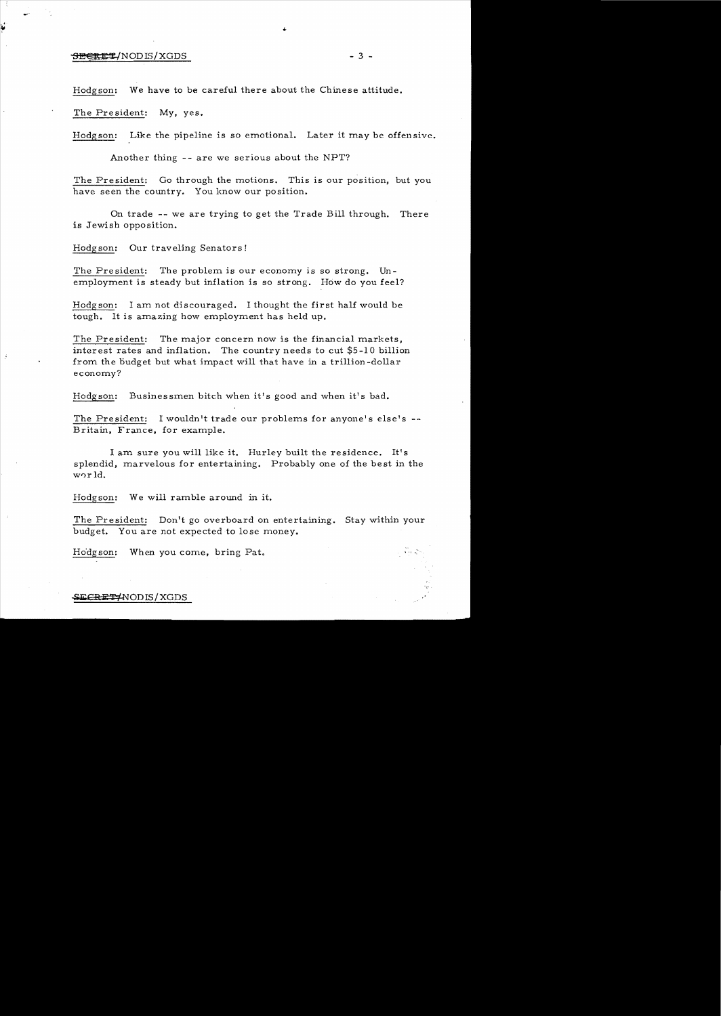# $\overline{\text{BEEE}}$ /NOD IS/XGDS - 3 -

Hodgson: We have to be careful there about the Chinese attitude.

The President: My, yes.

Hodgson: Like the pipeline is so emotional. Later it may be offensive.

Another thing -- are we serious about the NPT?

The President: Go through the motions. This is our position, but you have seen the country. You know our position.

On trade -- we are trying to get the Trade Bill through. There is Jewish opposition.

Hodgson: Our traveling Senators!

The President: The problem is our economy is so strong. Unemployment is steady but inflation is so strong. How do you feel?

Hodgson: I am not discouraged. I thought the first half would be tough. It is amazing how employment has held up.

The President: The major concern now is the financial markets, interest rates and inflation. The country needs to cut \$5-10 billion from the budget but what impact will that have in a trillion-dollar economy?

Hodgson: Businessmen bitch when it's good and when it's bad.

The President: I wouldn't trade our problems for anyone's else's --Britain, France, for example.

I am sure you will like it. Hurley built the residence. It's splendid, marvelous for entertaining. Probably one of the best in the W0r Id.

Hodgson: We will ramble around in it.

The President: Don't go overboard on entertaining. Stay within your budget. You are not expected to lose money.

Hodgson: When you come, bring Pat.

#### SECRET 'NODIS / XGDS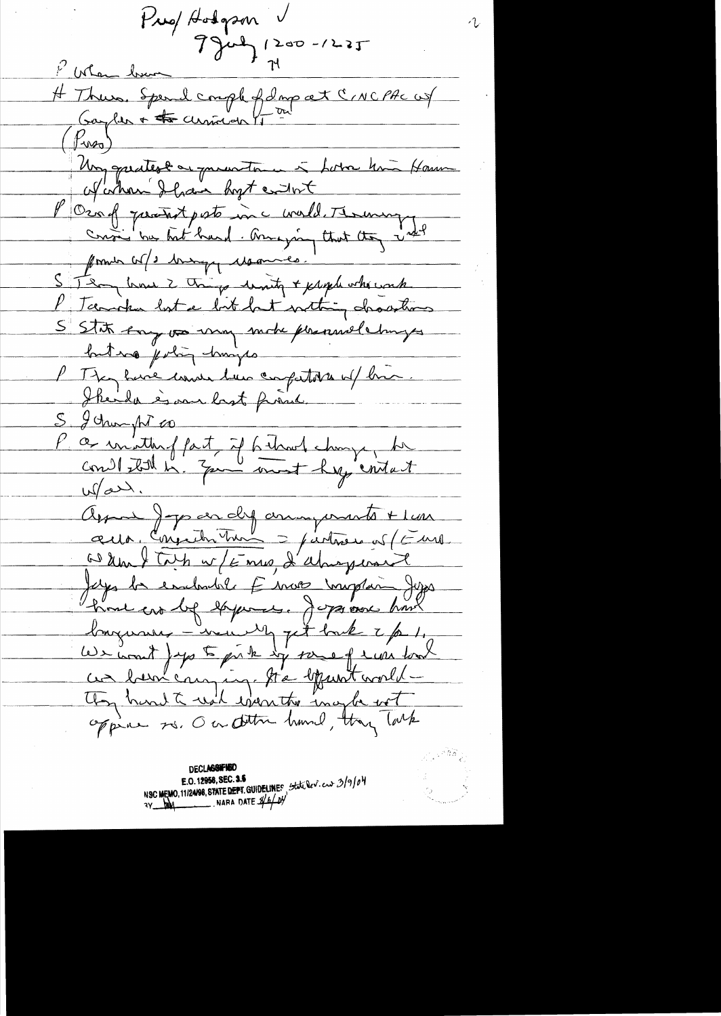Pres Hodgson  $794422 - 1225$ Mar bur H Thurs. Spend comple of donp at CINCPAC us  $(\beta_{\text{ws}})$ Un quates en proventance à borre home Hamme afather I have host entert l'Oraf prentast parts un c world. Therewere former cor/ 3 brings chammes. STRay line 2 things levely + propherhouse P Tanche lost a bit but nothing drawthous S'State Any vo uny mobe prennel changes but no jerling humips P They have come have competities of him Skeila è ma last franc. S ychunght co a un'ittenf part, if behavet change, be  $M$ art. Arme Jop en dy animants + lun aux, Conjuter Tur = justice of (Furt a deux flors et f mes, d'abiegerant Julys be embadale E mos muglan Jugo time en bef experience. Jegge avec hours longueux - voud et tout 2/01. ces been comping to by unt world -They hard to walk eventor inapter with

**DECLASSIFIED** NSC MEMO, 11/24/98, STATE DEPT. GUIDELINES State leview 3/9/04 E.O. 12958, SEC. 3.5  $\frac{1}{4}$  NARA DATE  $\frac{1}{4}$  b/ b/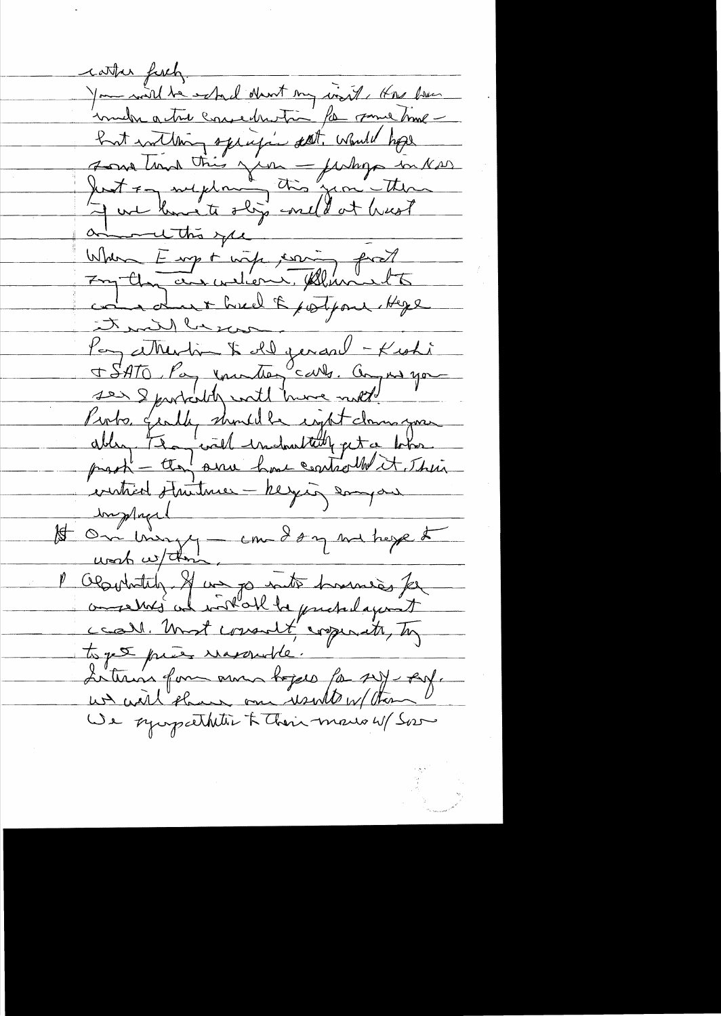cather fixely. You will be estad don't my world, that have immedia actual consecutivo for some time but inthing specific dat. Would hope son tind this year future in Nord<br>Just of my dome to some theme come due + heel & potpour. Hege that Planti Pay attention to del genard - Kishi Pioto gently should be eight down you ablen, the will industribly get a lots Ingland 1<br>15 Om may - com dany we have to l'Obsolutatif et un po inté hommes for conserved in work be pretedayed ceal. Unst consult copinate, To toget près massade. Lettres form aux bojes for set est. un will shown one wind w/ then We sympathetic & Their mars W/ Sor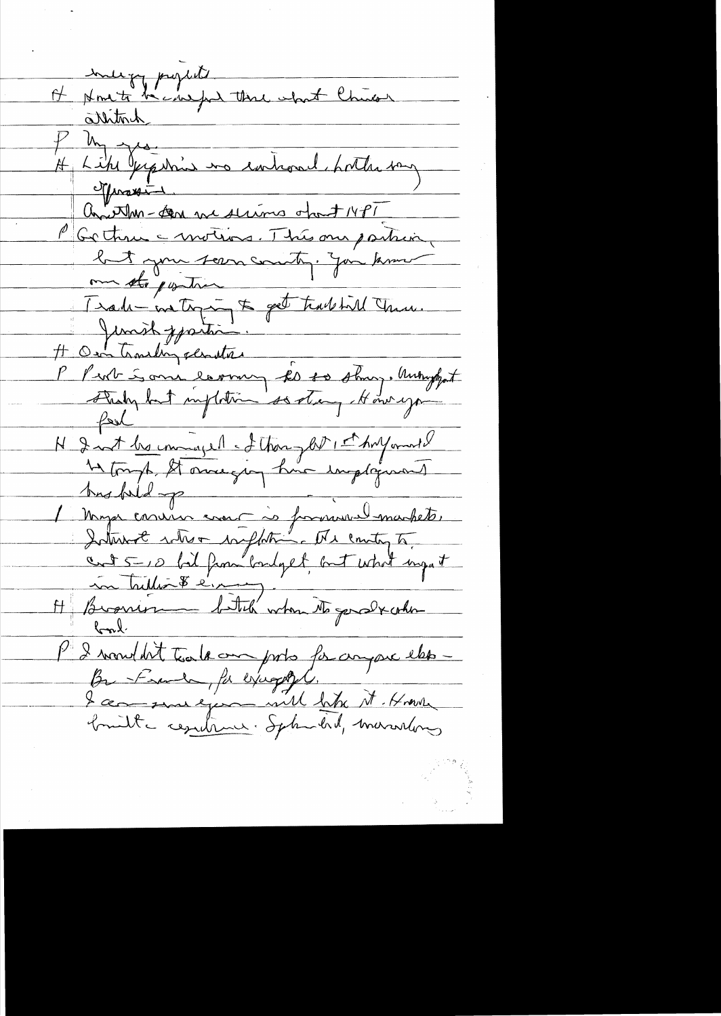He Homete hand the what Chican On Willen - An medicine opout 14PT me sto postin Trade ne top & get tradice chance. N 2 not be imaged of then glit it hay and hus fold pour commence de formandemarket. H Brasion billion dittel when to good x order P 2 mondat toute au ports for anyone else -